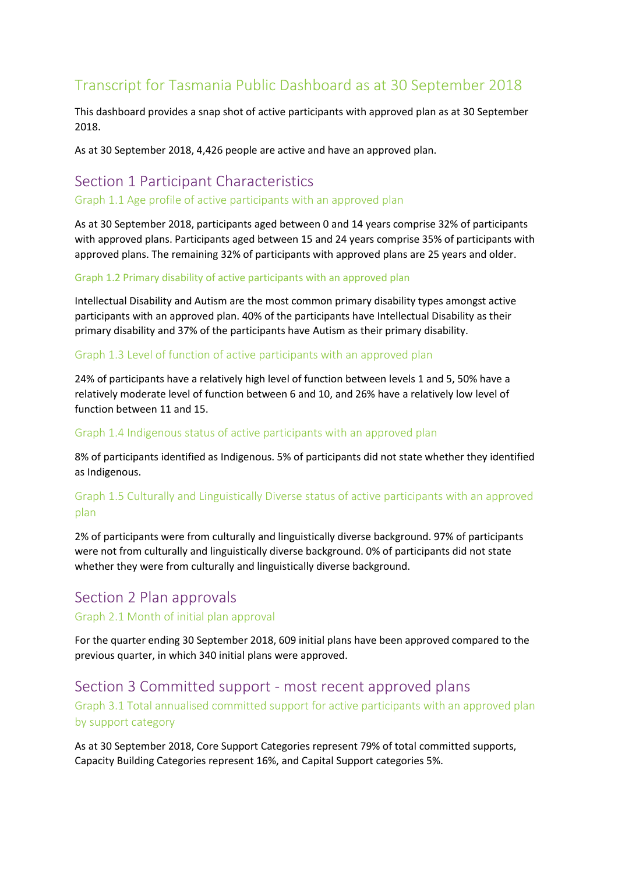# Transcript for Tasmania Public Dashboard as at 30 September 2018

This dashboard provides a snap shot of active participants with approved plan as at 30 September 2018.

As at 30 September 2018, 4,426 people are active and have an approved plan.

# Section 1 Participant Characteristics

#### Graph 1.1 Age profile of active participants with an approved plan

As at 30 September 2018, participants aged between 0 and 14 years comprise 32% of participants with approved plans. Participants aged between 15 and 24 years comprise 35% of participants with approved plans. The remaining 32% of participants with approved plans are 25 years and older.

#### Graph 1.2 Primary disability of active participants with an approved plan

Intellectual Disability and Autism are the most common primary disability types amongst active participants with an approved plan. 40% of the participants have Intellectual Disability as their primary disability and 37% of the participants have Autism as their primary disability.

#### Graph 1.3 Level of function of active participants with an approved plan

24% of participants have a relatively high level of function between levels 1 and 5, 50% have a relatively moderate level of function between 6 and 10, and 26% have a relatively low level of function between 11 and 15.

#### Graph 1.4 Indigenous status of active participants with an approved plan

8% of participants identified as Indigenous. 5% of participants did not state whether they identified as Indigenous.

### Graph 1.5 Culturally and Linguistically Diverse status of active participants with an approved plan

2% of participants were from culturally and linguistically diverse background. 97% of participants were not from culturally and linguistically diverse background. 0% of participants did not state whether they were from culturally and linguistically diverse background.

# Section 2 Plan approvals

#### Graph 2.1 Month of initial plan approval

For the quarter ending 30 September 2018, 609 initial plans have been approved compared to the previous quarter, in which 340 initial plans were approved.

# Section 3 Committed support - most recent approved plans Graph 3.1 Total annualised committed support for active participants with an approved plan by support category

As at 30 September 2018, Core Support Categories represent 79% of total committed supports, Capacity Building Categories represent 16%, and Capital Support categories 5%.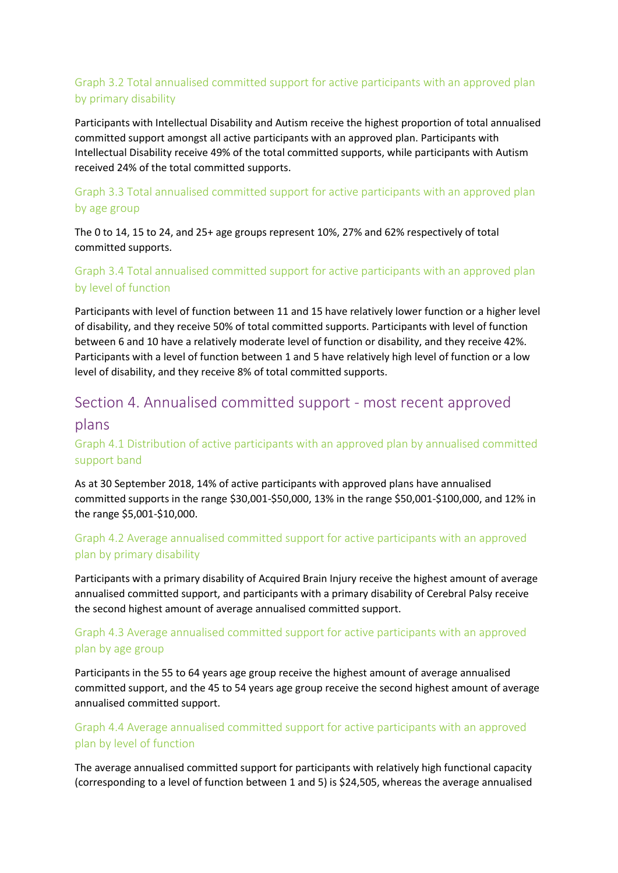# Graph 3.2 Total annualised committed support for active participants with an approved plan by primary disability

Participants with Intellectual Disability and Autism receive the highest proportion of total annualised committed support amongst all active participants with an approved plan. Participants with Intellectual Disability receive 49% of the total committed supports, while participants with Autism received 24% of the total committed supports.

# Graph 3.3 Total annualised committed support for active participants with an approved plan by age group

The 0 to 14, 15 to 24, and 25+ age groups represent 10%, 27% and 62% respectively of total committed supports.

## Graph 3.4 Total annualised committed support for active participants with an approved plan by level of function

Participants with level of function between 11 and 15 have relatively lower function or a higher level of disability, and they receive 50% of total committed supports. Participants with level of function between 6 and 10 have a relatively moderate level of function or disability, and they receive 42%. Participants with a level of function between 1 and 5 have relatively high level of function or a low level of disability, and they receive 8% of total committed supports.

# Section 4. Annualised committed support - most recent approved

## plans

# Graph 4.1 Distribution of active participants with an approved plan by annualised committed support band

As at 30 September 2018, 14% of active participants with approved plans have annualised committed supports in the range \$30,001-\$50,000, 13% in the range \$50,001-\$100,000, and 12% in the range \$5,001-\$10,000.

# Graph 4.2 Average annualised committed support for active participants with an approved plan by primary disability

Participants with a primary disability of Acquired Brain Injury receive the highest amount of average annualised committed support, and participants with a primary disability of Cerebral Palsy receive the second highest amount of average annualised committed support.

# Graph 4.3 Average annualised committed support for active participants with an approved plan by age group

Participants in the 55 to 64 years age group receive the highest amount of average annualised committed support, and the 45 to 54 years age group receive the second highest amount of average annualised committed support.

### Graph 4.4 Average annualised committed support for active participants with an approved plan by level of function

The average annualised committed support for participants with relatively high functional capacity (corresponding to a level of function between 1 and 5) is \$24,505, whereas the average annualised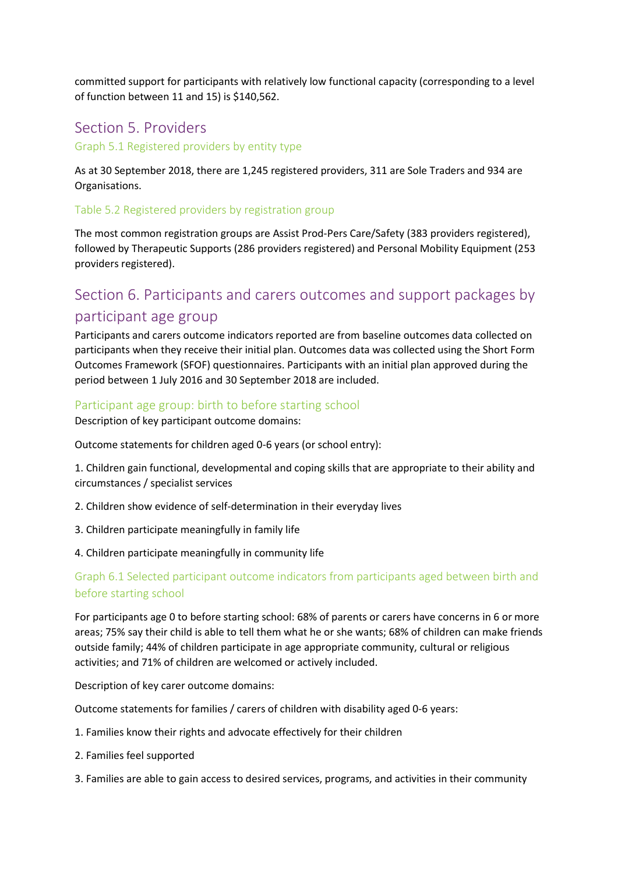committed support for participants with relatively low functional capacity (corresponding to a level of function between 11 and 15) is \$140,562.

# Section 5. Providers

Graph 5.1 Registered providers by entity type

As at 30 September 2018, there are 1,245 registered providers, 311 are Sole Traders and 934 are Organisations.

#### Table 5.2 Registered providers by registration group

The most common registration groups are Assist Prod-Pers Care/Safety (383 providers registered), followed by Therapeutic Supports (286 providers registered) and Personal Mobility Equipment (253 providers registered).

# Section 6. Participants and carers outcomes and support packages by participant age group

Participants and carers outcome indicators reported are from baseline outcomes data collected on participants when they receive their initial plan. Outcomes data was collected using the Short Form Outcomes Framework (SFOF) questionnaires. Participants with an initial plan approved during the period between 1 July 2016 and 30 September 2018 are included.

#### Participant age group: birth to before starting school

Description of key participant outcome domains:

Outcome statements for children aged 0-6 years (or school entry):

1. Children gain functional, developmental and coping skills that are appropriate to their ability and circumstances / specialist services

- 2. Children show evidence of self-determination in their everyday lives
- 3. Children participate meaningfully in family life
- 4. Children participate meaningfully in community life

#### Graph 6.1 Selected participant outcome indicators from participants aged between birth and before starting school

For participants age 0 to before starting school: 68% of parents or carers have concerns in 6 or more areas; 75% say their child is able to tell them what he or she wants; 68% of children can make friends outside family; 44% of children participate in age appropriate community, cultural or religious activities; and 71% of children are welcomed or actively included.

Description of key carer outcome domains:

Outcome statements for families / carers of children with disability aged 0-6 years:

- 1. Families know their rights and advocate effectively for their children
- 2. Families feel supported
- 3. Families are able to gain access to desired services, programs, and activities in their community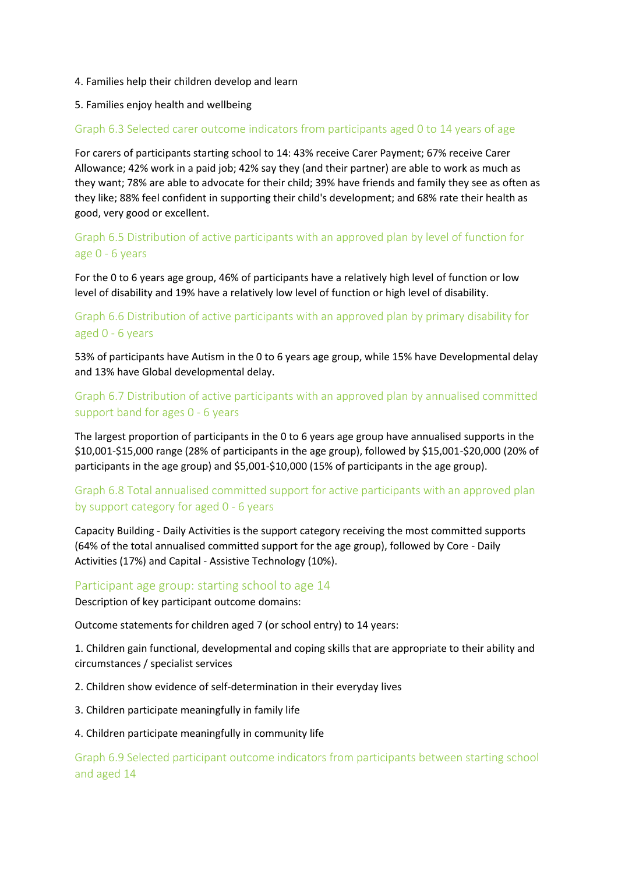#### 4. Families help their children develop and learn

#### 5. Families enjoy health and wellbeing

#### Graph 6.3 Selected carer outcome indicators from participants aged 0 to 14 years of age

For carers of participants starting school to 14: 43% receive Carer Payment; 67% receive Carer Allowance; 42% work in a paid job; 42% say they (and their partner) are able to work as much as they want; 78% are able to advocate for their child; 39% have friends and family they see as often as they like; 88% feel confident in supporting their child's development; and 68% rate their health as good, very good or excellent.

## Graph 6.5 Distribution of active participants with an approved plan by level of function for age 0 - 6 years

For the 0 to 6 years age group, 46% of participants have a relatively high level of function or low level of disability and 19% have a relatively low level of function or high level of disability.

### Graph 6.6 Distribution of active participants with an approved plan by primary disability for aged 0 - 6 years

53% of participants have Autism in the 0 to 6 years age group, while 15% have Developmental delay and 13% have Global developmental delay.

### Graph 6.7 Distribution of active participants with an approved plan by annualised committed support band for ages 0 - 6 years

The largest proportion of participants in the 0 to 6 years age group have annualised supports in the \$10,001-\$15,000 range (28% of participants in the age group), followed by \$15,001-\$20,000 (20% of participants in the age group) and \$5,001-\$10,000 (15% of participants in the age group).

### Graph 6.8 Total annualised committed support for active participants with an approved plan by support category for aged 0 - 6 years

Capacity Building - Daily Activities is the support category receiving the most committed supports (64% of the total annualised committed support for the age group), followed by Core - Daily Activities (17%) and Capital - Assistive Technology (10%).

#### Participant age group: starting school to age 14

Description of key participant outcome domains:

Outcome statements for children aged 7 (or school entry) to 14 years:

1. Children gain functional, developmental and coping skills that are appropriate to their ability and circumstances / specialist services

2. Children show evidence of self-determination in their everyday lives

3. Children participate meaningfully in family life

#### 4. Children participate meaningfully in community life

Graph 6.9 Selected participant outcome indicators from participants between starting school and aged 14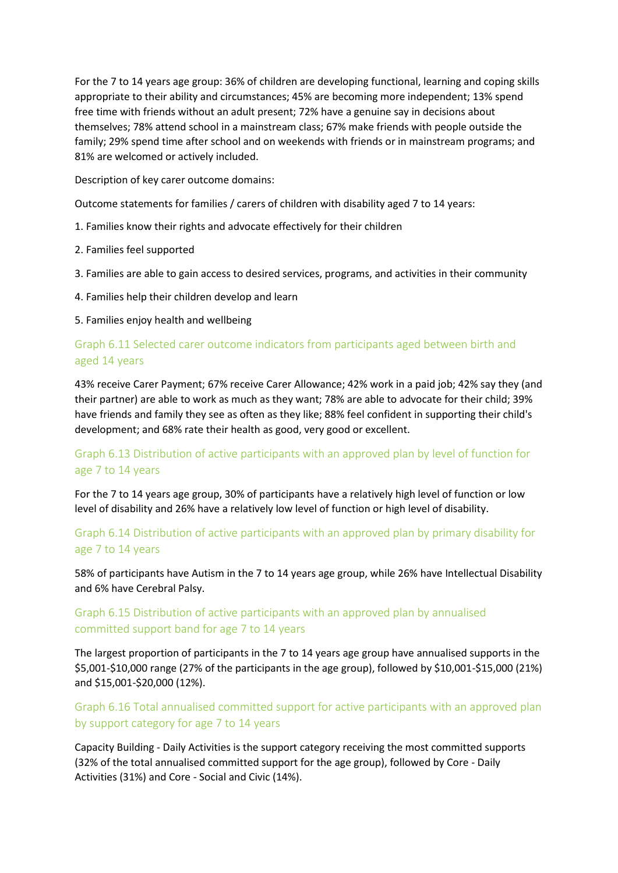For the 7 to 14 years age group: 36% of children are developing functional, learning and coping skills appropriate to their ability and circumstances; 45% are becoming more independent; 13% spend free time with friends without an adult present; 72% have a genuine say in decisions about themselves; 78% attend school in a mainstream class; 67% make friends with people outside the family; 29% spend time after school and on weekends with friends or in mainstream programs; and 81% are welcomed or actively included.

Description of key carer outcome domains:

Outcome statements for families / carers of children with disability aged 7 to 14 years:

- 1. Families know their rights and advocate effectively for their children
- 2. Families feel supported
- 3. Families are able to gain access to desired services, programs, and activities in their community
- 4. Families help their children develop and learn

5. Families enjoy health and wellbeing

### Graph 6.11 Selected carer outcome indicators from participants aged between birth and aged 14 years

43% receive Carer Payment; 67% receive Carer Allowance; 42% work in a paid job; 42% say they (and their partner) are able to work as much as they want; 78% are able to advocate for their child; 39% have friends and family they see as often as they like; 88% feel confident in supporting their child's development; and 68% rate their health as good, very good or excellent.

### Graph 6.13 Distribution of active participants with an approved plan by level of function for age 7 to 14 years

For the 7 to 14 years age group, 30% of participants have a relatively high level of function or low level of disability and 26% have a relatively low level of function or high level of disability.

### Graph 6.14 Distribution of active participants with an approved plan by primary disability for age 7 to 14 years

58% of participants have Autism in the 7 to 14 years age group, while 26% have Intellectual Disability and 6% have Cerebral Palsy.

# Graph 6.15 Distribution of active participants with an approved plan by annualised committed support band for age 7 to 14 years

The largest proportion of participants in the 7 to 14 years age group have annualised supports in the \$5,001-\$10,000 range (27% of the participants in the age group), followed by \$10,001-\$15,000 (21%) and \$15,001-\$20,000 (12%).

### Graph 6.16 Total annualised committed support for active participants with an approved plan by support category for age 7 to 14 years

Capacity Building - Daily Activities is the support category receiving the most committed supports (32% of the total annualised committed support for the age group), followed by Core - Daily Activities (31%) and Core - Social and Civic (14%).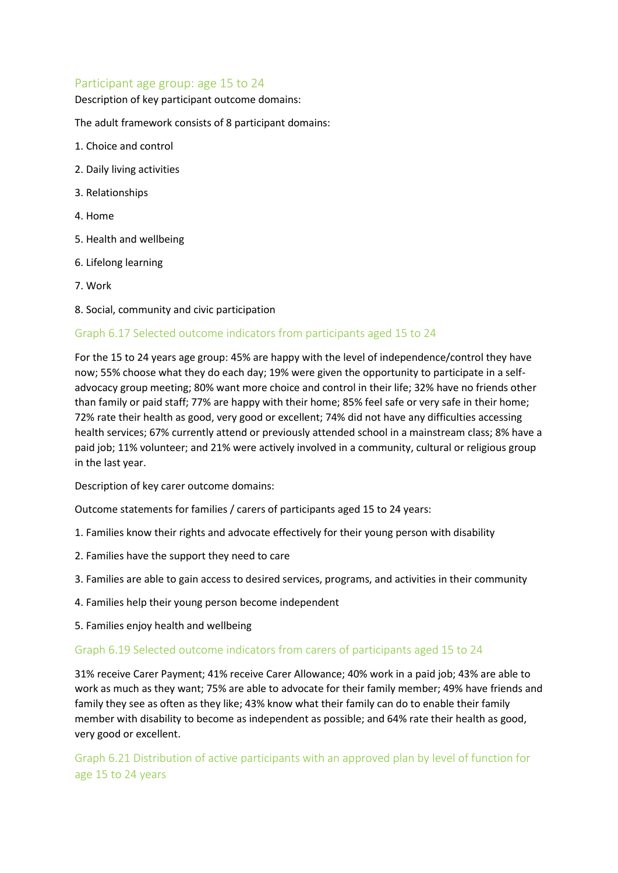#### Participant age group: age 15 to 24

Description of key participant outcome domains:

The adult framework consists of 8 participant domains:

- 1. Choice and control
- 2. Daily living activities
- 3. Relationships
- 4. Home
- 5. Health and wellbeing
- 6. Lifelong learning
- 7. Work
- 8. Social, community and civic participation

#### Graph 6.17 Selected outcome indicators from participants aged 15 to 24

For the 15 to 24 years age group: 45% are happy with the level of independence/control they have now; 55% choose what they do each day; 19% were given the opportunity to participate in a selfadvocacy group meeting; 80% want more choice and control in their life; 32% have no friends other than family or paid staff; 77% are happy with their home; 85% feel safe or very safe in their home; 72% rate their health as good, very good or excellent; 74% did not have any difficulties accessing health services; 67% currently attend or previously attended school in a mainstream class; 8% have a paid job; 11% volunteer; and 21% were actively involved in a community, cultural or religious group in the last year.

Description of key carer outcome domains:

Outcome statements for families / carers of participants aged 15 to 24 years:

- 1. Families know their rights and advocate effectively for their young person with disability
- 2. Families have the support they need to care
- 3. Families are able to gain access to desired services, programs, and activities in their community
- 4. Families help their young person become independent
- 5. Families enjoy health and wellbeing

#### Graph 6.19 Selected outcome indicators from carers of participants aged 15 to 24

31% receive Carer Payment; 41% receive Carer Allowance; 40% work in a paid job; 43% are able to work as much as they want; 75% are able to advocate for their family member; 49% have friends and family they see as often as they like; 43% know what their family can do to enable their family member with disability to become as independent as possible; and 64% rate their health as good, very good or excellent.

Graph 6.21 Distribution of active participants with an approved plan by level of function for age 15 to 24 years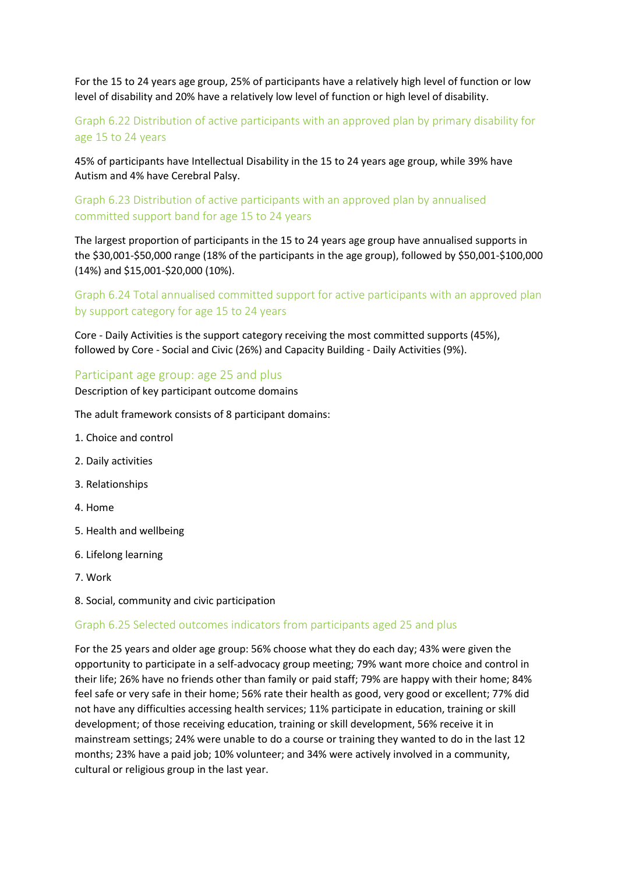For the 15 to 24 years age group, 25% of participants have a relatively high level of function or low level of disability and 20% have a relatively low level of function or high level of disability.

# Graph 6.22 Distribution of active participants with an approved plan by primary disability for age 15 to 24 years

45% of participants have Intellectual Disability in the 15 to 24 years age group, while 39% have Autism and 4% have Cerebral Palsy.

#### Graph 6.23 Distribution of active participants with an approved plan by annualised committed support band for age 15 to 24 years

The largest proportion of participants in the 15 to 24 years age group have annualised supports in the \$30,001-\$50,000 range (18% of the participants in the age group), followed by \$50,001-\$100,000 (14%) and \$15,001-\$20,000 (10%).

# Graph 6.24 Total annualised committed support for active participants with an approved plan by support category for age 15 to 24 years

Core - Daily Activities is the support category receiving the most committed supports (45%), followed by Core - Social and Civic (26%) and Capacity Building - Daily Activities (9%).

#### Participant age group: age 25 and plus

Description of key participant outcome domains

The adult framework consists of 8 participant domains:

- 1. Choice and control
- 2. Daily activities
- 3. Relationships
- 4. Home
- 5. Health and wellbeing
- 6. Lifelong learning
- 7. Work
- 8. Social, community and civic participation

#### Graph 6.25 Selected outcomes indicators from participants aged 25 and plus

For the 25 years and older age group: 56% choose what they do each day; 43% were given the opportunity to participate in a self-advocacy group meeting; 79% want more choice and control in their life; 26% have no friends other than family or paid staff; 79% are happy with their home; 84% feel safe or very safe in their home; 56% rate their health as good, very good or excellent; 77% did not have any difficulties accessing health services; 11% participate in education, training or skill development; of those receiving education, training or skill development, 56% receive it in mainstream settings; 24% were unable to do a course or training they wanted to do in the last 12 months; 23% have a paid job; 10% volunteer; and 34% were actively involved in a community, cultural or religious group in the last year.